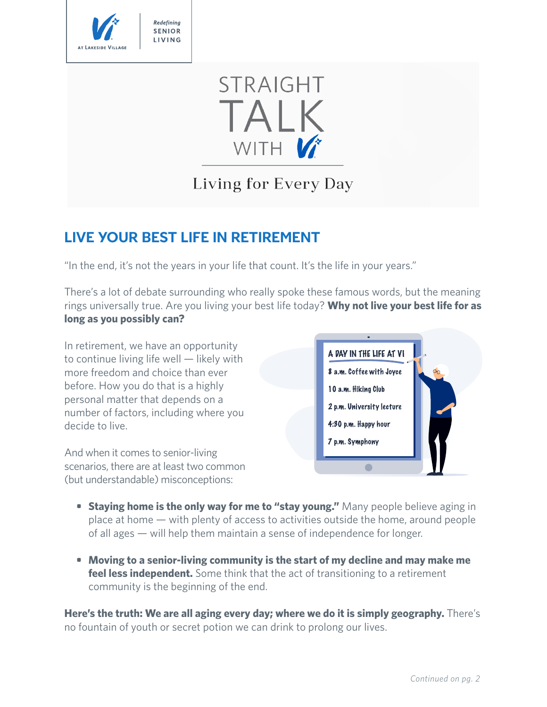

# **STRAIGHT** TALK WITH V

Living for Every Day

## **LIVE YOUR BEST LIFE IN RETIREMENT**

"In the end, it's not the years in your life that count. It's the life in your years."

There's a lot of debate surrounding who really spoke these famous words, but the meaning rings universally true. Are you living your best life today? **Why not live your best life for as long as you possibly can?**

In retirement, we have an opportunity to continue living life well — likely with more freedom and choice than ever before. How you do that is a highly personal matter that depends on a number of factors, including where you decide to live.

And when it comes to senior-living scenarios, there are at least two common (but understandable) misconceptions:



- **•** Staying home is the only way for me to "stay young." Many people believe aging in place at home — with plenty of access to activities outside the home, around people of all ages — will help them maintain a sense of independence for longer.
- **• Moving to a senior-living community is the start of my decline and may make me feel less independent.** Some think that the act of transitioning to a retirement community is the beginning of the end.

**Here's the truth: We are all aging every day; where we do it is simply geography.** There's no fountain of youth or secret potion we can drink to prolong our lives.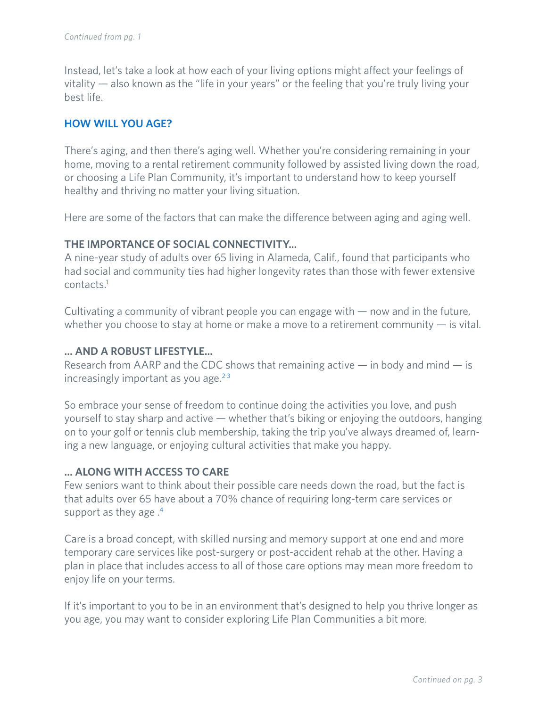Instead, let's take a look at how each of your living options might affect your feelings of vitality — also known as the "life in your years" or the feeling that you're truly living your best life.

#### **HOW WILL YOU AGE?**

There's aging, and then there's aging well. Whether you're considering remaining in your home, moving to a rental retirement community followed by assisted living down the road, or choosing a Life Plan Community, it's important to understand how to keep yourself healthy and thriving no matter your living situation.

Here are some of the factors that can make the difference between aging and aging well.

#### **THE IMPORTANCE OF SOCIAL CONNECTIVITY...**

A nine-year study of adults over 65 living in Alameda, Calif., found that participants who had social and community ties had higher longevity rates than those with fewer extensive contacts.1

Cultivating a community of vibrant people you can engage with  $-$  now and in the future, whether you choose to stay at home or make a move to a retirement community  $-$  is vital.

#### **… AND A ROBUST LIFESTYLE...**

Research from AARP and the CDC shows that remaining active  $-$  in body and mind  $-$  is increasingly important as you age. $2<sup>3</sup>$ 

So embrace your sense of freedom to continue doing the activities you love, and push yourself to stay sharp and active — whether that's biking or enjoying the outdoors, hanging on to your golf or tennis club membership, taking the trip you've always dreamed of, learning a new language, or enjoying cultural activities that make you happy.

#### **… ALONG WITH ACCESS TO CARE**

Few seniors want to think about their possible care needs down the road, but the fact is that adults over 65 have about a 70% chance of requiring long-term care services or support as they age  $.4$ 

Care is a broad concept, with skilled nursing and memory support at one end and more temporary care services like post-surgery or post-accident rehab at the other. Having a plan in place that includes access to all of those care options may mean more freedom to enjoy life on your terms.

If it's important to you to be in an environment that's designed to help you thrive longer as you age, you may want to consider exploring Life Plan Communities a bit more.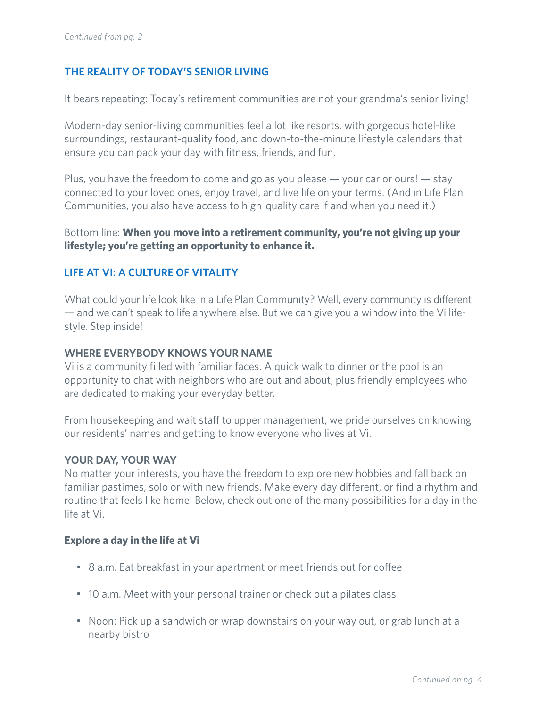#### **THE REALITY OF TODAY'S SENIOR LIVING**

It bears repeating: Today's retirement communities are not your grandma's senior living!

Modern-day senior-living communities feel a lot like resorts, with gorgeous hotel-like surroundings, restaurant-quality food, and down-to-the-minute lifestyle calendars that ensure you can pack your day with fitness, friends, and fun.

Plus, you have the freedom to come and go as you please  $-$  your car or ours!  $-$  stay connected to your loved ones, enjoy travel, and live life on your terms. (And in Life Plan Communities, you also have access to high-quality care if and when you need it.)

Bottom line: **When you move into a retirement community, you're not giving up your lifestyle; you're getting an opportunity to enhance it.**

#### **LIFE AT VI: A CULTURE OF VITALITY**

What could your life look like in a Life Plan Community? Well, every community is different — and we can't speak to life anywhere else. But we can give you a window into the Vi lifestyle. Step inside!

#### **WHERE EVERYBODY KNOWS YOUR NAME**

Vi is a community filled with familiar faces. A quick walk to dinner or the pool is an opportunity to chat with neighbors who are out and about, plus friendly employees who are dedicated to making your everyday better.

From housekeeping and wait staff to upper management, we pride ourselves on knowing our residents' names and getting to know everyone who lives at Vi.

#### **YOUR DAY, YOUR WAY**

No matter your interests, you have the freedom to explore new hobbies and fall back on familiar pastimes, solo or with new friends. Make every day different, or find a rhythm and routine that feels like home. Below, check out one of the many possibilities for a day in the life at Vi.

#### **Explore a day in the life at Vi**

- 8 a.m. Eat breakfast in your apartment or meet friends out for coffee
- 10 a.m. Meet with your personal trainer or check out a pilates class
- Noon: Pick up a sandwich or wrap downstairs on your way out, or grab lunch at a nearby bistro